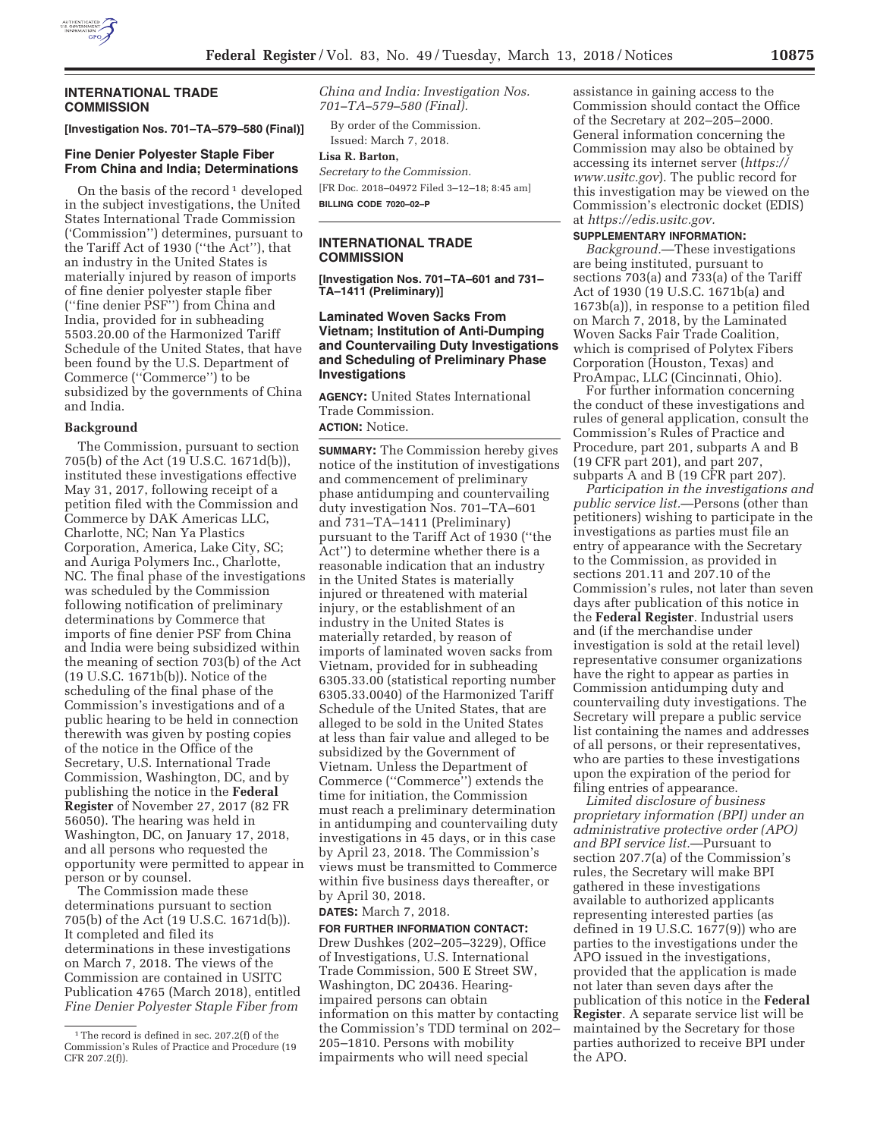

### **INTERNATIONAL TRADE COMMISSION**

**[Investigation Nos. 701–TA–579–580 (Final)]** 

## **Fine Denier Polyester Staple Fiber From China and India; Determinations**

On the basis of the record<sup>1</sup> developed in the subject investigations, the United States International Trade Commission ('Commission'') determines, pursuant to the Tariff Act of 1930 (''the Act''), that an industry in the United States is materially injured by reason of imports of fine denier polyester staple fiber (''fine denier PSF'') from China and India, provided for in subheading 5503.20.00 of the Harmonized Tariff Schedule of the United States, that have been found by the U.S. Department of Commerce (''Commerce'') to be subsidized by the governments of China and India.

#### **Background**

The Commission, pursuant to section 705(b) of the Act (19 U.S.C. 1671d(b)), instituted these investigations effective May 31, 2017, following receipt of a petition filed with the Commission and Commerce by DAK Americas LLC, Charlotte, NC; Nan Ya Plastics Corporation, America, Lake City, SC; and Auriga Polymers Inc., Charlotte, NC. The final phase of the investigations was scheduled by the Commission following notification of preliminary determinations by Commerce that imports of fine denier PSF from China and India were being subsidized within the meaning of section 703(b) of the Act (19 U.S.C. 1671b(b)). Notice of the scheduling of the final phase of the Commission's investigations and of a public hearing to be held in connection therewith was given by posting copies of the notice in the Office of the Secretary, U.S. International Trade Commission, Washington, DC, and by publishing the notice in the **Federal Register** of November 27, 2017 (82 FR 56050). The hearing was held in Washington, DC, on January 17, 2018, and all persons who requested the opportunity were permitted to appear in person or by counsel.

The Commission made these determinations pursuant to section 705(b) of the Act (19 U.S.C. 1671d(b)). It completed and filed its determinations in these investigations on March 7, 2018. The views of the Commission are contained in USITC Publication 4765 (March 2018), entitled *Fine Denier Polyester Staple Fiber from* 

*China and India: Investigation Nos. 701–TA–579–580 (Final).* 

By order of the Commission. Issued: March 7, 2018.

#### **Lisa R. Barton,**

*Secretary to the Commission.*  [FR Doc. 2018–04972 Filed 3–12–18; 8:45 am] **BILLING CODE 7020–02–P** 

## **INTERNATIONAL TRADE COMMISSION**

**[Investigation Nos. 701–TA–601 and 731– TA–1411 (Preliminary)]** 

### **Laminated Woven Sacks From Vietnam; Institution of Anti-Dumping and Countervailing Duty Investigations and Scheduling of Preliminary Phase Investigations**

**AGENCY:** United States International Trade Commission. **ACTION:** Notice.

**SUMMARY:** The Commission hereby gives notice of the institution of investigations and commencement of preliminary phase antidumping and countervailing duty investigation Nos. 701–TA–601 and 731–TA–1411 (Preliminary) pursuant to the Tariff Act of 1930 (''the Act'') to determine whether there is a reasonable indication that an industry in the United States is materially injured or threatened with material injury, or the establishment of an industry in the United States is materially retarded, by reason of imports of laminated woven sacks from Vietnam, provided for in subheading 6305.33.00 (statistical reporting number 6305.33.0040) of the Harmonized Tariff Schedule of the United States, that are alleged to be sold in the United States at less than fair value and alleged to be subsidized by the Government of Vietnam. Unless the Department of Commerce (''Commerce'') extends the time for initiation, the Commission must reach a preliminary determination in antidumping and countervailing duty investigations in 45 days, or in this case by April 23, 2018. The Commission's views must be transmitted to Commerce within five business days thereafter, or by April 30, 2018.

## **DATES:** March 7, 2018.

**FOR FURTHER INFORMATION CONTACT:**  Drew Dushkes (202–205–3229), Office of Investigations, U.S. International Trade Commission, 500 E Street SW, Washington, DC 20436. Hearingimpaired persons can obtain information on this matter by contacting the Commission's TDD terminal on 202– 205–1810. Persons with mobility impairments who will need special

assistance in gaining access to the Commission should contact the Office of the Secretary at 202–205–2000. General information concerning the Commission may also be obtained by accessing its internet server (*https:// www.usitc.gov*). The public record for this investigation may be viewed on the Commission's electronic docket (EDIS) at *https://edis.usitc.gov.* 

#### **SUPPLEMENTARY INFORMATION:**

*Background.*—These investigations are being instituted, pursuant to sections 703(a) and 733(a) of the Tariff Act of 1930 (19 U.S.C. 1671b(a) and 1673b(a)), in response to a petition filed on March 7, 2018, by the Laminated Woven Sacks Fair Trade Coalition, which is comprised of Polytex Fibers Corporation (Houston, Texas) and ProAmpac, LLC (Cincinnati, Ohio).

For further information concerning the conduct of these investigations and rules of general application, consult the Commission's Rules of Practice and Procedure, part 201, subparts A and B (19 CFR part 201), and part 207, subparts A and B (19 CFR part 207).

*Participation in the investigations and public service list.*—Persons (other than petitioners) wishing to participate in the investigations as parties must file an entry of appearance with the Secretary to the Commission, as provided in sections 201.11 and 207.10 of the Commission's rules, not later than seven days after publication of this notice in the **Federal Register**. Industrial users and (if the merchandise under investigation is sold at the retail level) representative consumer organizations have the right to appear as parties in Commission antidumping duty and countervailing duty investigations. The Secretary will prepare a public service list containing the names and addresses of all persons, or their representatives, who are parties to these investigations upon the expiration of the period for filing entries of appearance.

*Limited disclosure of business proprietary information (BPI) under an administrative protective order (APO) and BPI service list.*—Pursuant to section 207.7(a) of the Commission's rules, the Secretary will make BPI gathered in these investigations available to authorized applicants representing interested parties (as defined in 19 U.S.C. 1677(9)) who are parties to the investigations under the APO issued in the investigations, provided that the application is made not later than seven days after the publication of this notice in the **Federal Register**. A separate service list will be maintained by the Secretary for those parties authorized to receive BPI under the APO.

 $^{\rm 1}$  The record is defined in sec. 207.2(f) of the Commission's Rules of Practice and Procedure (19 CFR 207.2(f)).